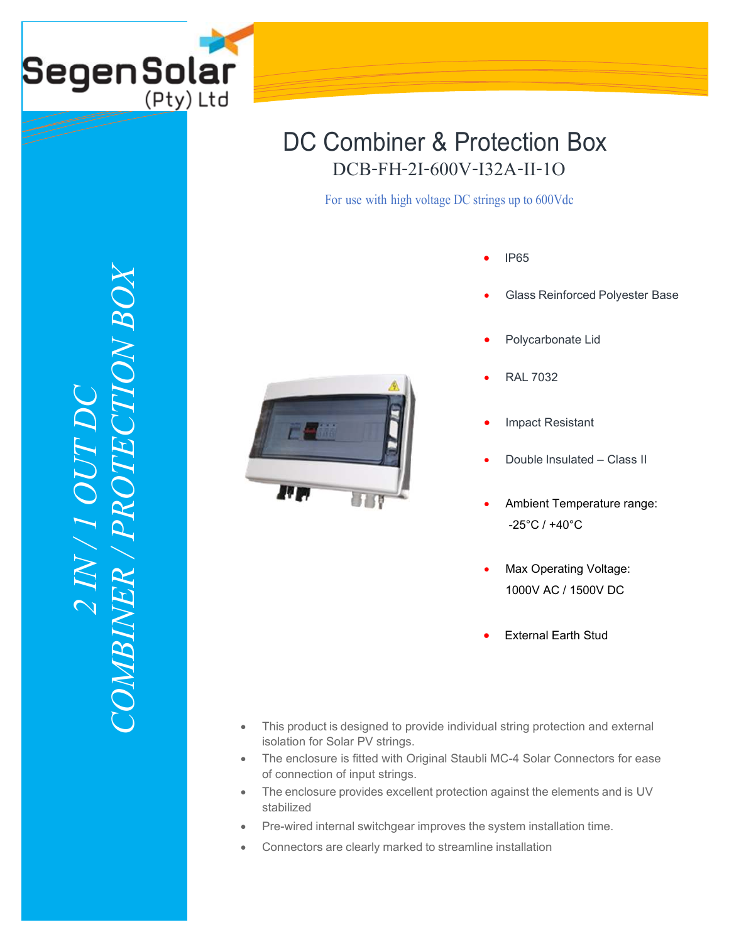

## DCB-FH-2I-600V-I32A-II-1O DC Combiner & Protection Box

For use with high voltage DC strings up to 600Vdc

- IP65
- Glass Reinforced Polyester Base
- Polycarbonate Lid
	- RAL 7032
	- Impact Resistant
	- Double Insulated Class II
	- Ambient Temperature range: -25°C / +40°C
	- Max Operating Voltage: 1000V AC / 1500V DC
	- External Earth Stud
- This product is designed to provide individual string protection and external isolation for Solar PV strings.
- The enclosure is fitted with Original Staubli MC-4 Solar Connectors for ease of connection of input strings.
- The enclosure provides excellent protection against the elements and is UV stabilized
- Pre-wired internal switchgear improves the system installation time.
- Connectors are clearly marked to streamline installation

*COMBINER / PROTECTION BOX* $XCOV$ *2 IN / 1 OUT DC*  I OUT COMBINER / PRO